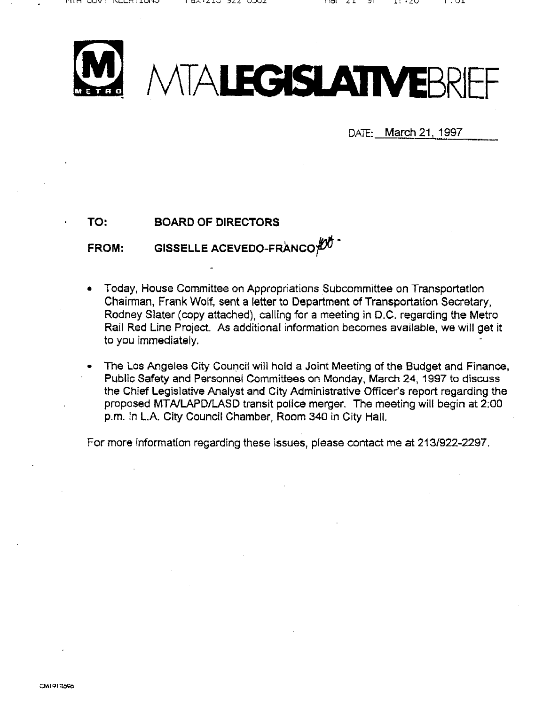

DATE: March 21, 1997

TO: BOARD OF DIRECTORS

FROM: GISSELLE ACEVEDO-FRANCO $\cancel{\mathcal{D}}^{\bullet}$ 

- Today, House Committee on Appropriations Subcommittee on Transportation Chairman, Frank Wolf, sent a letter to Department of Transportation Secretary, Rodney Slater (copy attached), calling for a meeting in D.C. regarding the Metro Rail Red Line Project As additional information becomes available, we will get it to you immediately.
- The Los Angeles City Council will hold a Joint Meeting of the Budget and Finance, Public Safety and Personnel Committees on Monday, March 24, 1997 to discuss the Chief Legislative Analyst and City Administrative Officer's report regarding the proposed MTNLAPD/LASD transit police merger. The meeting will begin at 2;00 p.m. in L.A. City Council Chamber, Room 340 in City Hall.

For more information regarding these issues, please contact me at 213/922-2297,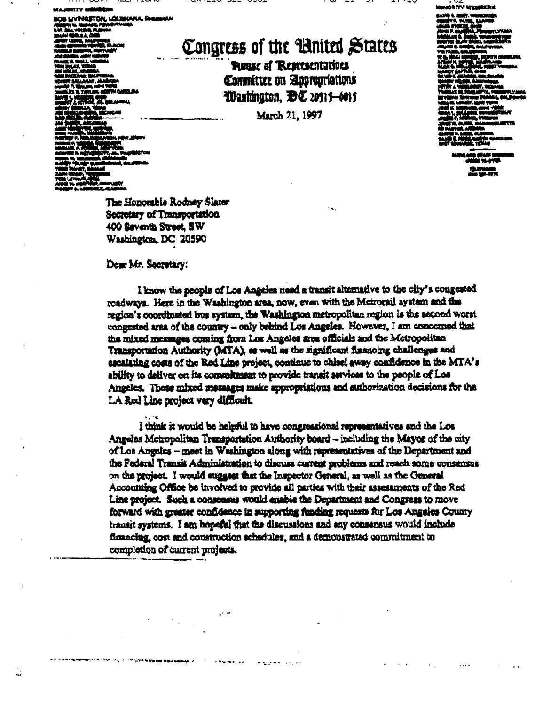OS LIVINGSTON, LOUISIANA, A

ز<br>مب

Congress of the United States

**Rease of Representations** Committee on Appropriations Washington, DC 20515-6015

March 21, 1997

ORITY MANI **BANG 1. MARY. V** 

The Honorable Rodney Slater Secretary of Transportation 400 Seventh Street, SW Washington, DC 20590

## Dear Mr. Secretary:

I know the people of Los Angeles need a transit alternative to the city's congested roadways. Here in the Washington area, now, even with the Metrorail system and the region's coordinated bus system, the Washington metropolitan region is the second worst congested area of the country - only behind Los Angeles. However, I am concerned that the mixed messages coming from Los Angeles area officials and the Metropolitan Transportation Authority (MTA), as well as the significant financing challenges and escalating costs of the Red Line project, continue to chise! away confidence in the MTA's ability to deliver on its commitment to provide transit services to the people of Los Angeles. These mixed massages make appropriations and authorization decisions for the LA Red Line project very difficult.

I think it would be helpful to have congressional representatives and the Los Angeles Metropolitan Transportation Authority board - including the Mayor of the city of Los Angeles - meet in Washington along with representatives of the Department and the Federal Transit Administration to discuss current problems and reach some consensus on the project. I would suggest that the Inspector General, as well as the General Accounting Office be involved to provide all parties with their assessments of the Red Line project. Such a consensus would enable the Department and Congress to move forward with greater confidence in supporting funding requests for Los Angeles County transit systems. I am hopeful that the discussions and any consensus would include financing, cost and construction schedules, and a demonstrated commitment to completion of current projects.